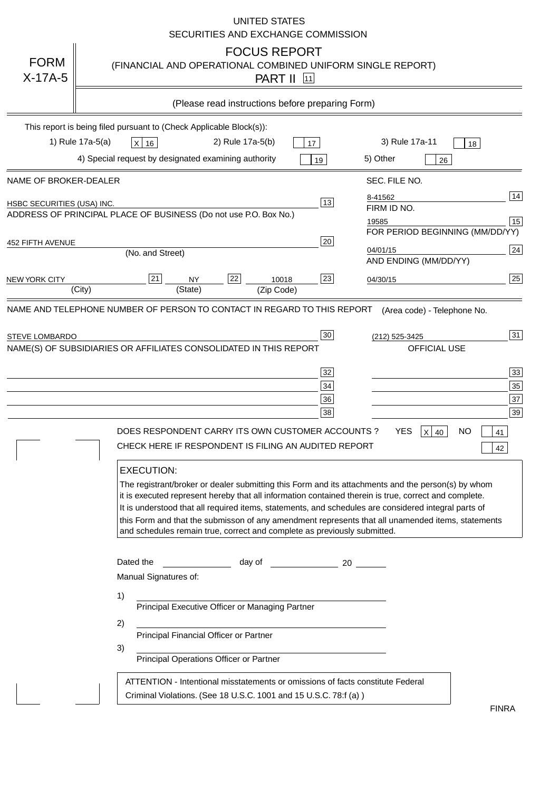|                            | <b>UNITED STATES</b><br>SECURITIES AND EXCHANGE COMMISSION                                                                                                                                                                                                                                                                                                                                                                                                                                                                                                                                                                                                                                                                                                                                                                                                        |
|----------------------------|-------------------------------------------------------------------------------------------------------------------------------------------------------------------------------------------------------------------------------------------------------------------------------------------------------------------------------------------------------------------------------------------------------------------------------------------------------------------------------------------------------------------------------------------------------------------------------------------------------------------------------------------------------------------------------------------------------------------------------------------------------------------------------------------------------------------------------------------------------------------|
| <b>FORM</b><br>$X-17A-5$   | <b>FOCUS REPORT</b><br>(FINANCIAL AND OPERATIONAL COMBINED UNIFORM SINGLE REPORT)<br><b>PART II</b> [11]                                                                                                                                                                                                                                                                                                                                                                                                                                                                                                                                                                                                                                                                                                                                                          |
|                            | (Please read instructions before preparing Form)                                                                                                                                                                                                                                                                                                                                                                                                                                                                                                                                                                                                                                                                                                                                                                                                                  |
|                            | This report is being filed pursuant to (Check Applicable Block(s)):                                                                                                                                                                                                                                                                                                                                                                                                                                                                                                                                                                                                                                                                                                                                                                                               |
|                            | 1) Rule 17a-5(a)<br>3) Rule 17a-11<br>2) Rule 17a-5(b)<br>$X$ 16<br>17<br>18                                                                                                                                                                                                                                                                                                                                                                                                                                                                                                                                                                                                                                                                                                                                                                                      |
|                            | 4) Special request by designated examining authority<br>5) Other<br>19<br>26                                                                                                                                                                                                                                                                                                                                                                                                                                                                                                                                                                                                                                                                                                                                                                                      |
| NAME OF BROKER-DEALER      | SEC. FILE NO.                                                                                                                                                                                                                                                                                                                                                                                                                                                                                                                                                                                                                                                                                                                                                                                                                                                     |
| HSBC SECURITIES (USA) INC. | 14<br>8-41562<br>13<br>FIRM ID NO.<br>ADDRESS OF PRINCIPAL PLACE OF BUSINESS (Do not use P.O. Box No.)                                                                                                                                                                                                                                                                                                                                                                                                                                                                                                                                                                                                                                                                                                                                                            |
|                            | 15<br>19585<br>FOR PERIOD BEGINNING (MM/DD/YY)                                                                                                                                                                                                                                                                                                                                                                                                                                                                                                                                                                                                                                                                                                                                                                                                                    |
| 452 FIFTH AVENUE           | 20<br>24<br>04/01/15<br>(No. and Street)<br>AND ENDING (MM/DD/YY)                                                                                                                                                                                                                                                                                                                                                                                                                                                                                                                                                                                                                                                                                                                                                                                                 |
| <b>NEW YORK CITY</b>       | 25<br>21<br>22<br>23<br>10018<br>NY<br>04/30/15                                                                                                                                                                                                                                                                                                                                                                                                                                                                                                                                                                                                                                                                                                                                                                                                                   |
|                            | (City)<br>(Zip Code)<br>(State)<br>NAME AND TELEPHONE NUMBER OF PERSON TO CONTACT IN REGARD TO THIS REPORT                                                                                                                                                                                                                                                                                                                                                                                                                                                                                                                                                                                                                                                                                                                                                        |
| <b>STEVE LOMBARDO</b>      | 31<br>30 <sub>o</sub><br>(212) 525-3425<br>NAME(S) OF SUBSIDIARIES OR AFFILIATES CONSOLIDATED IN THIS REPORT<br>OFFICIAL USE<br>33<br>32<br>35<br>34<br>37<br>36<br>39<br>38<br>DOES RESPONDENT CARRY ITS OWN CUSTOMER ACCOUNTS ?<br>YES.<br>$X$ 40<br><b>NO</b><br>41<br>CHECK HERE IF RESPONDENT IS FILING AN AUDITED REPORT<br>42<br><b>EXECUTION:</b><br>The registrant/broker or dealer submitting this Form and its attachments and the person(s) by whom<br>it is executed represent hereby that all information contained therein is true, correct and complete.<br>It is understood that all required items, statements, and schedules are considered integral parts of<br>this Form and that the submisson of any amendment represents that all unamended items, statements<br>and schedules remain true, correct and complete as previously submitted. |
|                            | Dated the<br>day of the contract and a contract a contract of the contract of the contract of the contract of the contract o<br>Manual Signatures of:<br>1)<br>Principal Executive Officer or Managing Partner<br>2)<br>Principal Financial Officer or Partner<br>3)<br>Principal Operations Officer or Partner<br>ATTENTION - Intentional misstatements or omissions of facts constitute Federal<br>Criminal Violations. (See 18 U.S.C. 1001 and 15 U.S.C. 78:f (a))                                                                                                                                                                                                                                                                                                                                                                                             |
|                            | <b>FINRA</b>                                                                                                                                                                                                                                                                                                                                                                                                                                                                                                                                                                                                                                                                                                                                                                                                                                                      |

FINRA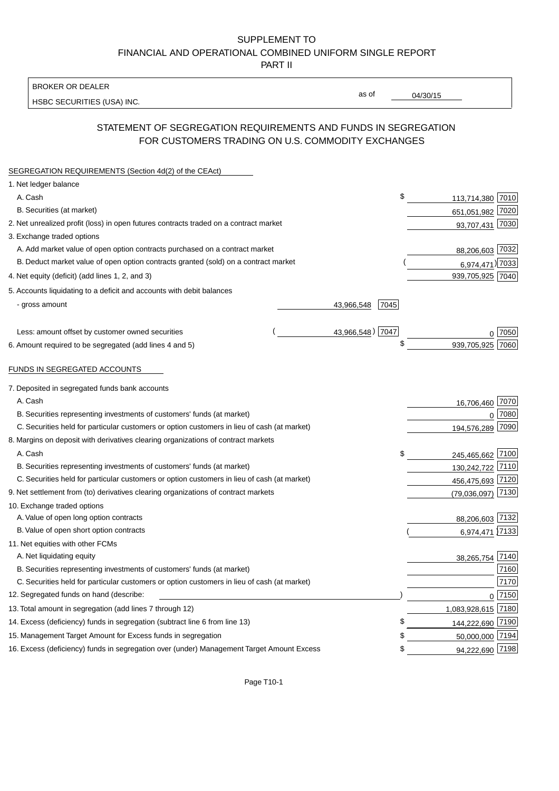# SUPPLEMENT TO FINANCIAL AND OPERATIONAL COMBINED UNIFORM SINGLE REPORT

PART II

#### BROKER OR DEALER

HSBC SECURITIES (USA) INC.

04/30/15

as of

# STATEMENT OF SEGREGATION REQUIREMENTS AND FUNDS IN SEGREGATION FOR CUSTOMERS TRADING ON U.S. COMMODITY EXCHANGES

| SEGREGATION REQUIREMENTS (Section 4d(2) of the CEAct)                                       |                    |                    |            |
|---------------------------------------------------------------------------------------------|--------------------|--------------------|------------|
| 1. Net ledger balance                                                                       |                    |                    |            |
| A. Cash                                                                                     | \$                 | 113,714,380 7010   |            |
| B. Securities (at market)                                                                   |                    | 651,051,982 7020   |            |
| 2. Net unrealized profit (loss) in open futures contracts traded on a contract market       |                    | 93,707,431 7030    |            |
| 3. Exchange traded options                                                                  |                    |                    |            |
| A. Add market value of open option contracts purchased on a contract market                 |                    | 88,206,603 7032    |            |
| B. Deduct market value of open option contracts granted (sold) on a contract market         |                    | 6,974,471) 7033    |            |
| 4. Net equity (deficit) (add lines 1, 2, and 3)                                             |                    | 939,705,925 7040   |            |
| 5. Accounts liquidating to a deficit and accounts with debit balances                       |                    |                    |            |
| - gross amount                                                                              | 7045<br>43,966,548 |                    |            |
| Less: amount offset by customer owned securities                                            | 43,966,548) 7047   |                    | 17050      |
| 6. Amount required to be segregated (add lines 4 and 5)                                     | \$                 | 939,705,925        | 7060       |
|                                                                                             |                    |                    |            |
| FUNDS IN SEGREGATED ACCOUNTS                                                                |                    |                    |            |
| 7. Deposited in segregated funds bank accounts                                              |                    |                    |            |
| A. Cash                                                                                     |                    | 16,706,460         | 7070       |
| B. Securities representing investments of customers' funds (at market)                      |                    | $\Omega$           | 7080       |
| C. Securities held for particular customers or option customers in lieu of cash (at market) |                    | 194,576,289        | 7090       |
| 8. Margins on deposit with derivatives clearing organizations of contract markets           |                    |                    |            |
| A. Cash                                                                                     | \$                 | 245,465,662 7100   |            |
| B. Securities representing investments of customers' funds (at market)                      |                    | 130,242,722 7110   |            |
| C. Securities held for particular customers or option customers in lieu of cash (at market) |                    | 456,475,693 7120   |            |
| 9. Net settlement from (to) derivatives clearing organizations of contract markets          |                    | (79,036,097)       | 7130       |
| 10. Exchange traded options                                                                 |                    |                    |            |
| A. Value of open long option contracts                                                      |                    | 88,206,603 7132    |            |
| B. Value of open short option contracts                                                     |                    | 6,974,471          | 7133       |
| 11. Net equities with other FCMs                                                            |                    |                    |            |
| A. Net liquidating equity                                                                   |                    | 38,265,754         | 7140       |
| B. Securities representing investments of customers' funds (at market)                      |                    |                    | 7160       |
| C. Securities held for particular customers or option customers in lieu of cash (at market) |                    |                    | 7170       |
| 12. Segregated funds on hand (describe:                                                     |                    |                    | $0^{7150}$ |
| 13. Total amount in segregation (add lines 7 through 12)                                    |                    | 1,083,928,615 7180 |            |
| 14. Excess (deficiency) funds in segregation (subtract line 6 from line 13)                 | £                  | 144,222,690 7190   |            |
| 15. Management Target Amount for Excess funds in segregation                                | £                  | 50,000,000 7194    |            |
| 16. Excess (deficiency) funds in segregation over (under) Management Target Amount Excess   | \$                 | 94,222,690 7198    |            |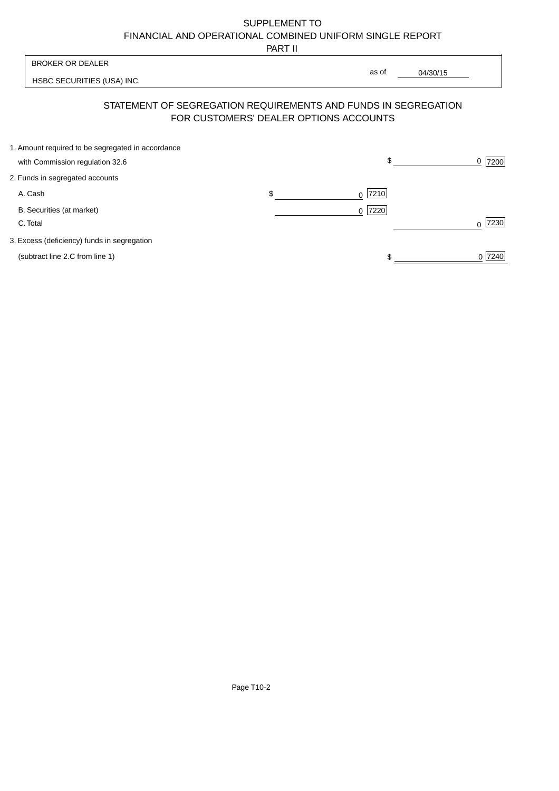# SUPPLEMENT TO FINANCIAL AND OPERATIONAL COMBINED UNIFORM SINGLE REPORT

PART II

|                                                                                      | .                                      |                                                                |                  |
|--------------------------------------------------------------------------------------|----------------------------------------|----------------------------------------------------------------|------------------|
| <b>BROKER OR DEALER</b>                                                              |                                        |                                                                |                  |
| HSBC SECURITIES (USA) INC.                                                           |                                        | as of<br>04/30/15                                              |                  |
|                                                                                      | FOR CUSTOMERS' DEALER OPTIONS ACCOUNTS | STATEMENT OF SEGREGATION REQUIREMENTS AND FUNDS IN SEGREGATION |                  |
| 1. Amount required to be segregated in accordance<br>with Commission regulation 32.6 |                                        | \$                                                             | 7200<br>0        |
|                                                                                      |                                        |                                                                |                  |
| 2. Funds in segregated accounts                                                      |                                        |                                                                |                  |
| A. Cash                                                                              | \$                                     | 7210<br>0                                                      |                  |
| B. Securities (at market)                                                            |                                        | 7220<br>$\Omega$                                               |                  |
| C. Total                                                                             |                                        |                                                                | 7230<br>$\Omega$ |
| 3. Excess (deficiency) funds in segregation                                          |                                        |                                                                |                  |
| (subtract line 2.C from line 1)                                                      |                                        |                                                                | 0 7240           |
|                                                                                      |                                        |                                                                |                  |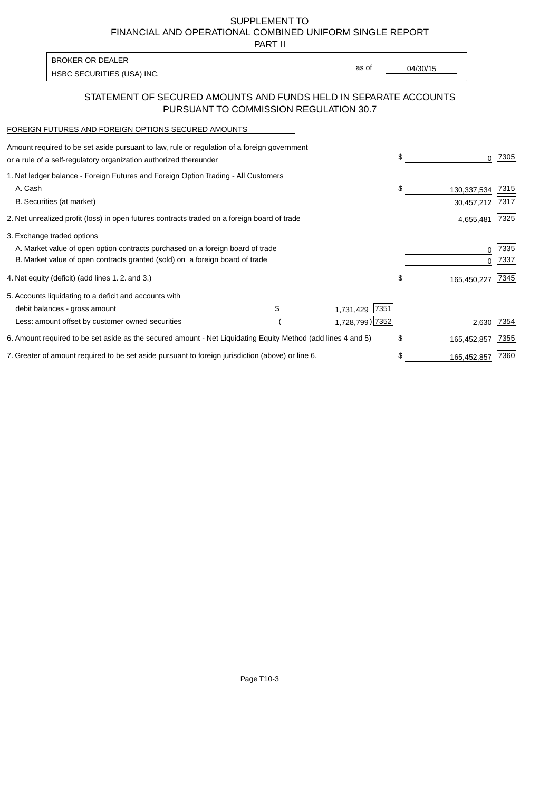SUPPLEMENT TO FINANCIAL AND OPERATIONAL COMBINED UNIFORM SINGLE REPORT

PART II

| <b>BROKER OR DEALER</b>    |       |          |
|----------------------------|-------|----------|
| HSBC SECURITIES (USA) INC. | as of | 04/30/15 |

#### STATEMENT OF SECURED AMOUNTS AND FUNDS HELD IN SEPARATE ACCOUNTS PURSUANT TO COMMISSION REGULATION 30.7

#### FOREIGN FUTURES AND FOREIGN OPTIONS SECURED AMOUNTS

| Amount required to be set aside pursuant to law, rule or regulation of a foreign government<br>or a rule of a self-regulatory organization authorized thereunder |                   | \$<br>O.          | 7305 |
|------------------------------------------------------------------------------------------------------------------------------------------------------------------|-------------------|-------------------|------|
| 1. Net ledger balance - Foreign Futures and Foreign Option Trading - All Customers                                                                               |                   |                   |      |
| A. Cash                                                                                                                                                          |                   | \$<br>130,337,534 | 7315 |
| B. Securities (at market)                                                                                                                                        |                   | 30,457,212        | 7317 |
| 2. Net unrealized profit (loss) in open futures contracts traded on a foreign board of trade                                                                     |                   | 4,655,481         | 7325 |
| 3. Exchange traded options                                                                                                                                       |                   |                   |      |
| A. Market value of open option contracts purchased on a foreign board of trade                                                                                   |                   | 0                 | 7335 |
| B. Market value of open contracts granted (sold) on a foreign board of trade                                                                                     |                   |                   | 7337 |
| 4. Net equity (deficit) (add lines 1. 2. and 3.)                                                                                                                 |                   | \$<br>165,450,227 | 7345 |
| 5. Accounts liquidating to a deficit and accounts with                                                                                                           |                   |                   |      |
| debit balances - gross amount                                                                                                                                    | 7351<br>1,731,429 |                   |      |
| Less: amount offset by customer owned securities                                                                                                                 | 1,728,799) 7352   | 2,630             | 7354 |
| 6. Amount required to be set aside as the secured amount - Net Liquidating Equity Method (add lines 4 and 5)                                                     |                   | \$<br>165,452,857 | 7355 |
| 7. Greater of amount required to be set aside pursuant to foreign jurisdiction (above) or line 6.                                                                |                   | \$<br>165,452,857 | 7360 |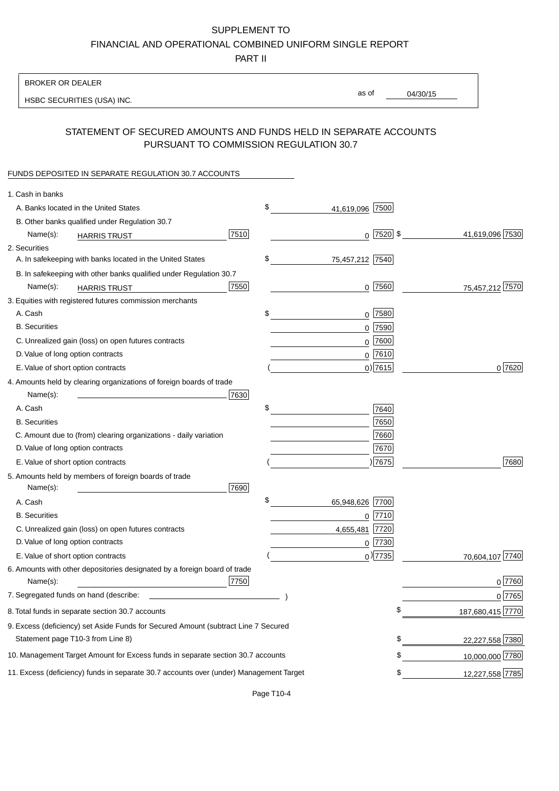### SUPPLEMENT TO

FINANCIAL AND OPERATIONAL COMBINED UNIFORM SINGLE REPORT

PART II

#### BROKER OR DEALER

HSBC SECURITIES (USA) INC.

04/30/15 as of

# STATEMENT OF SECURED AMOUNTS AND FUNDS HELD IN SEPARATE ACCOUNTS PURSUANT TO COMMISSION REGULATION 30.7

#### FUNDS DEPOSITED IN SEPARATE REGULATION 30.7 ACCOUNTS

| 1. Cash in banks                                                                       |      |                       |               |                  |
|----------------------------------------------------------------------------------------|------|-----------------------|---------------|------------------|
| A. Banks located in the United States                                                  |      | \$<br>41,619,096      | 7500          |                  |
| B. Other banks qualified under Regulation 30.7                                         |      |                       |               |                  |
| Name(s):<br><b>HARRIS TRUST</b>                                                        | 7510 |                       | $0$ $2520$ \$ | 41,619,096 7530  |
| 2. Securities                                                                          |      |                       |               |                  |
| A. In safekeeping with banks located in the United States                              |      | \$<br>75,457,212 7540 |               |                  |
| B. In safekeeping with other banks qualified under Regulation 30.7                     |      |                       |               |                  |
| Name(s):<br><b>HARRIS TRUST</b>                                                        | 7550 | $0$ 7560              |               | 75,457,212 7570  |
| 3. Equities with registered futures commission merchants                               |      |                       |               |                  |
| A. Cash                                                                                |      | \$<br>$0$ 7580        |               |                  |
| <b>B.</b> Securities                                                                   |      | $\mathbf 0$           | 7590          |                  |
| C. Unrealized gain (loss) on open futures contracts                                    |      | $\Omega$              | 7600          |                  |
| D. Value of long option contracts                                                      |      | $0^{7610}$            |               |                  |
| E. Value of short option contracts                                                     |      | $0)$ 7615             |               | 0 7620           |
| 4. Amounts held by clearing organizations of foreign boards of trade                   |      |                       |               |                  |
| Name(s):                                                                               | 7630 |                       |               |                  |
| A. Cash                                                                                |      | \$                    | 7640          |                  |
| <b>B.</b> Securities                                                                   |      |                       | 7650          |                  |
| C. Amount due to (from) clearing organizations - daily variation                       |      |                       | 7660          |                  |
| D. Value of long option contracts                                                      |      |                       | 7670          |                  |
| E. Value of short option contracts                                                     |      |                       | ) 7675        | 7680             |
| 5. Amounts held by members of foreign boards of trade                                  |      |                       |               |                  |
| Name(s):                                                                               | 7690 |                       |               |                  |
| A. Cash                                                                                |      | \$<br>65,948,626      | 7700          |                  |
| <b>B.</b> Securities                                                                   |      | $0$  7710             |               |                  |
| C. Unrealized gain (loss) on open futures contracts                                    |      | 4,655,481             | 7720          |                  |
| D. Value of long option contracts                                                      |      | $0$ 7730              |               |                  |
| E. Value of short option contracts                                                     |      | $0$ <sup>27735</sup>  |               | 70,604,107 7740  |
| 6. Amounts with other depositories designated by a foreign board of trade<br>Name(s):  | 7750 |                       |               | $0$ 7760         |
| 7. Segregated funds on hand (describe:                                                 |      |                       |               | 0 7765           |
| 8. Total funds in separate section 30.7 accounts                                       |      |                       | ъ             | 187,680,415 7770 |
| 9. Excess (deficiency) set Aside Funds for Secured Amount (subtract Line 7 Secured     |      |                       |               |                  |
| Statement page T10-3 from Line 8)                                                      |      |                       | \$            | 22,227,558 7380  |
| 10. Management Target Amount for Excess funds in separate section 30.7 accounts        |      |                       | \$            | 10,000,000 7780  |
| 11. Excess (deficiency) funds in separate 30.7 accounts over (under) Management Target |      |                       | \$            | 12,227,558 7785  |
|                                                                                        |      |                       |               |                  |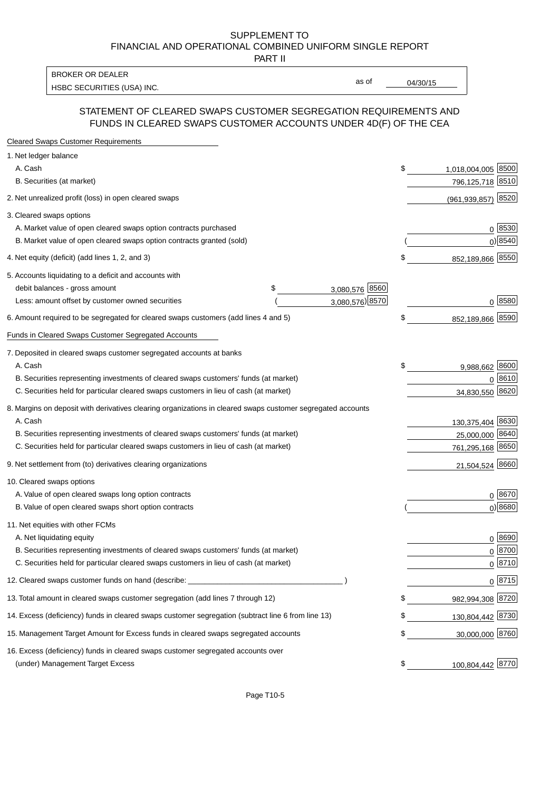#### SUPPLEMENT TO FINANCIAL AND OPERATIONAL COMBINED UNIFORM SINGLE REPORT PART II

HSBC SECURITIES (USA) INC. The contract of the contract of the contract of the contract of the contract of the contract of the contract of the contract of the contract of the contract of the contract of the contract of the BROKER OR DEALER

as of

#### STATEMENT OF CLEARED SWAPS CUSTOMER SEGREGATION REQUIREMENTS AND FUNDS IN CLEARED SWAPS CUSTOMER ACCOUNTS UNDER 4D(F) OF THE CEA

| <b>Cleared Swaps Customer Requirements</b>                                                                  |                      |    |                         |
|-------------------------------------------------------------------------------------------------------------|----------------------|----|-------------------------|
| 1. Net ledger balance                                                                                       |                      |    |                         |
| A. Cash                                                                                                     |                      | \$ | 1,018,004,005 8500      |
| B. Securities (at market)                                                                                   |                      |    | 796,125,718 8510        |
| 2. Net unrealized profit (loss) in open cleared swaps                                                       |                      |    | 8520<br>(961, 939, 857) |
| 3. Cleared swaps options                                                                                    |                      |    |                         |
| A. Market value of open cleared swaps option contracts purchased                                            |                      |    | $0^{8530}$              |
| B. Market value of open cleared swaps option contracts granted (sold)                                       |                      |    | 0 8540                  |
| 4. Net equity (deficit) (add lines 1, 2, and 3)                                                             |                      | \$ | 852,189,866 8550        |
| 5. Accounts liquidating to a deficit and accounts with                                                      |                      |    |                         |
| debit balances - gross amount                                                                               | 3,080,576 8560<br>\$ |    |                         |
| Less: amount offset by customer owned securities                                                            | 3,080,576) 8570      |    | 0 8580                  |
| 6. Amount required to be segregated for cleared swaps customers (add lines 4 and 5)                         |                      | S  | 852,189,866 8590        |
| Funds in Cleared Swaps Customer Segregated Accounts                                                         |                      |    |                         |
| 7. Deposited in cleared swaps customer segregated accounts at banks                                         |                      |    |                         |
| A. Cash                                                                                                     |                      | \$ | 9,988,662 8600          |
| B. Securities representing investments of cleared swaps customers' funds (at market)                        |                      |    | 8610<br>$\Omega$        |
| C. Securities held for particular cleared swaps customers in lieu of cash (at market)                       |                      |    | 8620<br>34,830,550      |
| 8. Margins on deposit with derivatives clearing organizations in cleared swaps customer segregated accounts |                      |    |                         |
| A. Cash                                                                                                     |                      |    | 130,375,404 8630        |
| B. Securities representing investments of cleared swaps customers' funds (at market)                        |                      |    | 25,000,000<br>8640      |
| C. Securities held for particular cleared swaps customers in lieu of cash (at market)                       |                      |    | 761,295,168 8650        |
| 9. Net settlement from (to) derivatives clearing organizations                                              |                      |    | 21,504,524 8660         |
| 10. Cleared swaps options                                                                                   |                      |    |                         |
| A. Value of open cleared swaps long option contracts                                                        |                      |    | $0^{8670}$              |
| B. Value of open cleared swaps short option contracts                                                       |                      |    | $0$ ) 8680              |
| 11. Net equities with other FCMs                                                                            |                      |    |                         |
| A. Net liquidating equity                                                                                   |                      |    | $0^{8690}$              |
| B. Securities representing investments of cleared swaps customers' funds (at market)                        |                      |    | $0^{8700}$              |
| C. Securities held for particular cleared swaps customers in lieu of cash (at market)                       |                      |    | 0 8710                  |
| 12. Cleared swaps customer funds on hand (describe: _                                                       |                      |    | $0 \;  8715 $           |
| 13. Total amount in cleared swaps customer segregation (add lines 7 through 12)                             |                      | S  | 982,994,308 8720        |
| 14. Excess (deficiency) funds in cleared swaps customer segregation (subtract line 6 from line 13)          |                      |    | 130,804,442 8730        |
| 15. Management Target Amount for Excess funds in cleared swaps segregated accounts                          |                      | \$ | 30,000,000 8760         |
| 16. Excess (deficiency) funds in cleared swaps customer segregated accounts over                            |                      |    |                         |
| (under) Management Target Excess                                                                            |                      | \$ | 100,804,442 8770        |